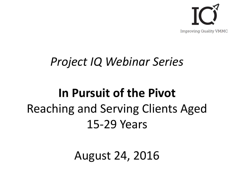

#### *Project IQ Webinar Series*

#### **In Pursuit of the Pivot** Reaching and Serving Clients Aged 15-29 Years

August 24, 2016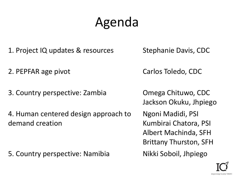## Agenda

- 1. Project IQ updates & resources Stephanie Davis, CDC
- 2. PEPFAR age pivot Carlos Toledo, CDC
- 3. Country perspective: Zambia Omega Chituwo, CDC

4. Human centered design approach to demand creation

5. Country perspective: Namibia Nikki Soboil, Jhpiego

Jackson Okuku, Jhpiego Ngoni Madidi, PSI Kumbirai Chatora, PSI Albert Machinda, SFH Brittany Thurston, SFH

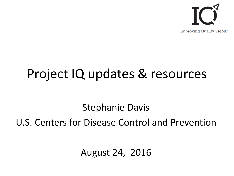

### Project IQ updates & resources

Stephanie Davis

U.S. Centers for Disease Control and Prevention

August 24, 2016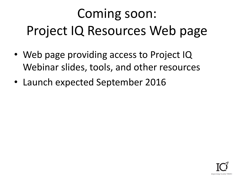# Coming soon: Project IQ Resources Web page

- Web page providing access to Project IQ Webinar slides, tools, and other resources
- Launch expected September 2016

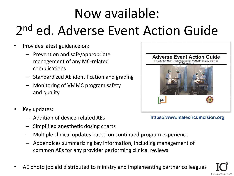# Now available: 2 nd ed. Adverse Event Action Guide

- Provides latest guidance on:
	- Prevention and safe/appropriate management of any MC-related complications
	- Standardized AE identification and grading
	- Monitoring of VMMC program safety and quality
- Key updates:
	- Addition of device-related AEs
	- Simplified anesthetic dosing charts
	- Multiple clinical updates based on continued program experience
	- Appendices summarizing key information, including management of common AEs for any provider performing clinical reviews
- AE photo job aid distributed to ministry and implementing partner colleagues



**https://www.malecircumcision.org**

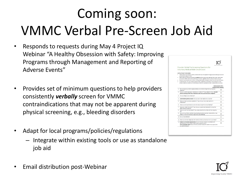# Coming soon: VMMC Verbal Pre-Screen Job Aid

- Responds to requests during May 4 Project IQ Webinar "A Healthy Obsession with Safety: Improving Programs through Management and Reporting of Adverse Events"
- Provides set of minimum questions to help providers consistently *verbally* screen for VMMC contraindications that may not be apparent during physical screening, e.g., bleeding disorders
- Adapt for local programs/policies/regulations
	- Integrate within existing tools or use as standalone job aid
- Email distribution post-Webinar

|    | <b>Impreeling Guality VHRC</b>                                                                                                                                                                                                                      |   |
|----|-----------------------------------------------------------------------------------------------------------------------------------------------------------------------------------------------------------------------------------------------------|---|
|    | Provider Verbal Pre-Screening Questions for                                                                                                                                                                                                         |   |
|    | <b>Voluntary Medical Male Circumcision</b>                                                                                                                                                                                                          |   |
|    | INSTRUCTIONS TO PROVIDERS:                                                                                                                                                                                                                          |   |
|    | These questions are intended to identify conditions that may not be apparent through physical screening but could still<br>compromise the sefety of VMMC.                                                                                           |   |
|    | Please verbally ask the following questions in addition to performing physical screening of all voluntary medical male<br>dircumcision (VMMC) clients prior to performing dircumcision, regardless of the circumcision method to be used.           |   |
|    | Questions should be asked even if a client or their guardian already completed a written form with similar information.                                                                                                                             |   |
|    | If a client answers "fes' to any of the full overtions below, please follow site policies or consult the senior on-site<br>dinician to determine whether any further testing or referral to a specialised provider is needed before droumosion.     |   |
|    |                                                                                                                                                                                                                                                     |   |
|    | Check if answer is YES-<br>Consider further screening                                                                                                                                                                                               |   |
|    | 1. Do you have any current or past conditions, or a chronic illness that we should be<br>aware of?                                                                                                                                                  | п |
|    | 2. Are you currently taking any medications or vitamins? If yes, please list them. (Consider<br>further screening if client cites medications other than over-the-counter analgesias)                                                               | п |
|    | 3. Are you allergic to any medicines?                                                                                                                                                                                                               | п |
|    | 4. If administering tetanus taxaid: Have you ever a bad reaction to a vaccine?                                                                                                                                                                      | п |
| 5. | Have you had any previous operations? If yes, did you have a bad reaction to<br>anaesthesia?                                                                                                                                                        | п |
|    | 6. Have you ever experienced wounds that take a long time to stop bleeding?                                                                                                                                                                         | п |
| 7. | Have ever visited the dentist? If yes, have you experienced bleeding for a long time<br>after a dental procedure?                                                                                                                                   | п |
| 8. | Have you ever had nose bleeds? If yes, please describe how often and how long they<br>latt.                                                                                                                                                         | □ |
| 9. | Do any of your family members have bleeding disorders (example: haemophilia), nose<br>bleeds, or wounds that take a long time to stop bleeding?                                                                                                     | п |
|    | 10. Do you have diabetes?                                                                                                                                                                                                                           | п |
|    | 11. Have you ever been diagnosed with anemia or told you have low iron in your blood?                                                                                                                                                               | п |
|    | 12. If allent is or has been sexually active: Do you have any concerns or problems with<br>penile erection or any other concerns about sexual function?<br>if not yet sexually active: Do you have any concerns about the health of your penis that | □ |

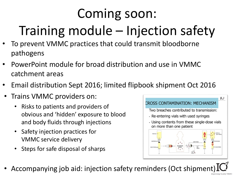# Coming soon:

# Training module – Injection safety

- To prevent VMMC practices that could transmit bloodborne pathogens
- PowerPoint module for broad distribution and use in VMMC catchment areas
- Email distribution Sept 2016; limited flipbook shipment Oct 2016
- Trains VMMC providers on:
	- Risks to patients and providers of obvious and 'hidden' exposure to blood and body fluids through injections
	- Safety injection practices for VMMC service delivery
	- Steps for safe disposal of sharps



• Accompanying job aid: injection safety reminders (Oct shipment)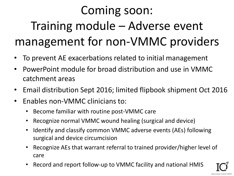## Coming soon: Training module – Adverse event management for non-VMMC providers

- To prevent AE exacerbations related to initial management
- PowerPoint module for broad distribution and use in VMMC catchment areas
- Email distribution Sept 2016; limited flipbook shipment Oct 2016
- Enables non-VMMC clinicians to:
	- Become familiar with routine post-VMMC care
	- Recognize normal VMMC wound healing (surgical and device)
	- Identify and classify common VMMC adverse events (AEs) following surgical and device circumcision
	- Recognize AEs that warrant referral to trained provider/higher level of care

Improving Quality

• Record and report follow-up to VMMC facility and national HMIS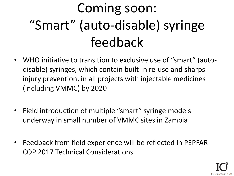# Coming soon: "Smart" (auto-disable) syringe feedback

- WHO initiative to transition to exclusive use of "smart" (autodisable) syringes, which contain built-in re-use and sharps injury prevention, in all projects with injectable medicines (including VMMC) by 2020
- Field introduction of multiple "smart" syringe models underway in small number of VMMC sites in Zambia
- Feedback from field experience will be reflected in PEPFAR COP 2017 Technical Considerations

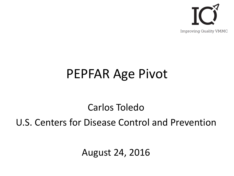

#### PEPFAR Age Pivot

Carlos Toledo U.S. Centers for Disease Control and Prevention

August 24, 2016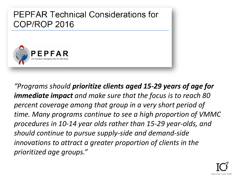

*"Programs should prioritize clients aged 15-29 years of age for immediate impact and make sure that the focus is to reach 80 percent coverage among that group in a very short period of time. Many programs continue to see a high proportion of VMMC procedures in 10-14 year olds rather than 15-29 year-olds, and should continue to pursue supply-side and demand-side innovations to attract a greater proportion of clients in the prioritized age groups."* 

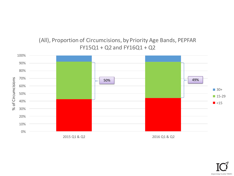#### (All), Proportion of Circumcisions, by Priority Age Bands, PEPFAR FY15Q1 + Q2 and FY16Q1 + Q2